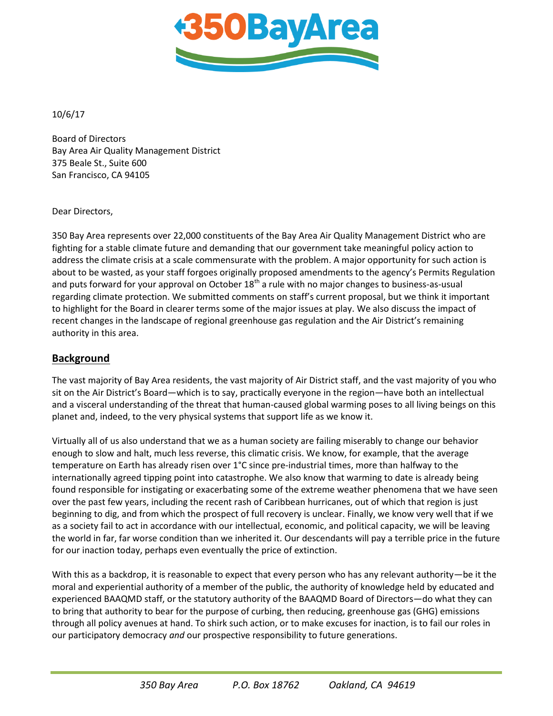

10/6/17

Board of Directors Bay Area Air Quality Management District 375 Beale St., Suite 600 San Francisco, CA 94105

Dear Directors,

350 Bay Area represents over 22,000 constituents of the Bay Area Air Quality Management District who are fighting for a stable climate future and demanding that our government take meaningful policy action to address the climate crisis at a scale commensurate with the problem. A major opportunity for such action is about to be wasted, as your staff forgoes originally proposed amendments to the agency's Permits Regulation and puts forward for your approval on October  $18<sup>th</sup>$  a rule with no major changes to business-as-usual regarding climate protection. We submitted comments on staff's current proposal, but we think it important to highlight for the Board in clearer terms some of the major issues at play. We also discuss the impact of recent changes in the landscape of regional greenhouse gas regulation and the Air District's remaining authority in this area.

## **Background**

The vast majority of Bay Area residents, the vast majority of Air District staff, and the vast majority of you who sit on the Air District's Board—which is to say, practically everyone in the region—have both an intellectual and a visceral understanding of the threat that human-caused global warming poses to all living beings on this planet and, indeed, to the very physical systems that support life as we know it.

Virtually all of us also understand that we as a human society are failing miserably to change our behavior enough to slow and halt, much less reverse, this climatic crisis. We know, for example, that the average temperature on Earth has already risen over 1°C since pre-industrial times, more than halfway to the internationally agreed tipping point into catastrophe. We also know that warming to date is already being found responsible for instigating or exacerbating some of the extreme weather phenomena that we have seen over the past few years, including the recent rash of Caribbean hurricanes, out of which that region is just beginning to dig, and from which the prospect of full recovery is unclear. Finally, we know very well that if we as a society fail to act in accordance with our intellectual, economic, and political capacity, we will be leaving the world in far, far worse condition than we inherited it. Our descendants will pay a terrible price in the future for our inaction today, perhaps even eventually the price of extinction.

With this as a backdrop, it is reasonable to expect that every person who has any relevant authority—be it the moral and experiential authority of a member of the public, the authority of knowledge held by educated and experienced BAAQMD staff, or the statutory authority of the BAAQMD Board of Directors—do what they can to bring that authority to bear for the purpose of curbing, then reducing, greenhouse gas (GHG) emissions through all policy avenues at hand. To shirk such action, or to make excuses for inaction, is to fail our roles in our participatory democracy *and* our prospective responsibility to future generations.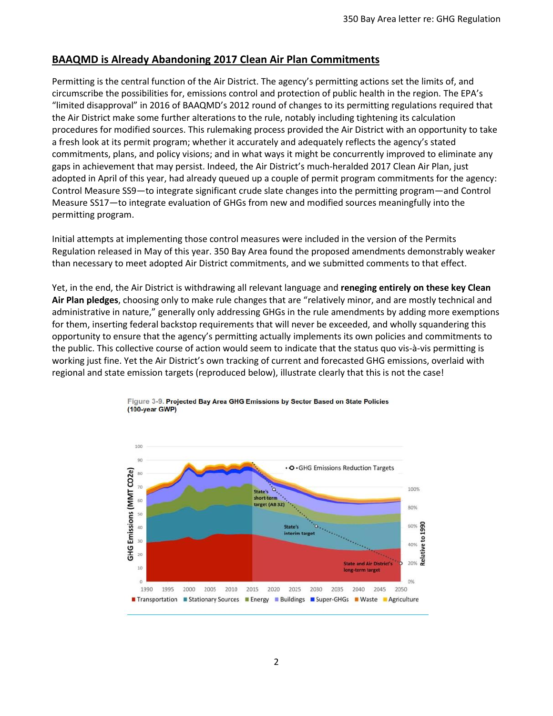## **BAAQMD is Already Abandoning 2017 Clean Air Plan Commitments**

Permitting is the central function of the Air District. The agency's permitting actions set the limits of, and circumscribe the possibilities for, emissions control and protection of public health in the region. The EPA's "limited disapproval" in 2016 of BAAQMD's 2012 round of changes to its permitting regulations required that the Air District make some further alterations to the rule, notably including tightening its calculation procedures for modified sources. This rulemaking process provided the Air District with an opportunity to take a fresh look at its permit program; whether it accurately and adequately reflects the agency's stated commitments, plans, and policy visions; and in what ways it might be concurrently improved to eliminate any gaps in achievement that may persist. Indeed, the Air District's much-heralded 2017 Clean Air Plan, just adopted in April of this year, had already queued up a couple of permit program commitments for the agency: Control Measure SS9—to integrate significant crude slate changes into the permitting program—and Control Measure SS17—to integrate evaluation of GHGs from new and modified sources meaningfully into the permitting program.

Initial attempts at implementing those control measures were included in the version of the Permits Regulation released in May of this year. 350 Bay Area found the proposed amendments demonstrably weaker than necessary to meet adopted Air District commitments, and we submitted comments to that effect.

Yet, in the end, the Air District is withdrawing all relevant language and **reneging entirely on these key Clean Air Plan pledges**, choosing only to make rule changes that are "relatively minor, and are mostly technical and administrative in nature," generally only addressing GHGs in the rule amendments by adding more exemptions for them, inserting federal backstop requirements that will never be exceeded, and wholly squandering this opportunity to ensure that the agency's permitting actually implements its own policies and commitments to the public. This collective course of action would seem to indicate that the status quo vis-à-vis permitting is working just fine. Yet the Air District's own tracking of current and forecasted GHG emissions, overlaid with regional and state emission targets (reproduced below), illustrate clearly that this is not the case!



Figure 3-9. Projected Bay Area GHG Emissions by Sector Based on State Policies  $(100$ -year GWP)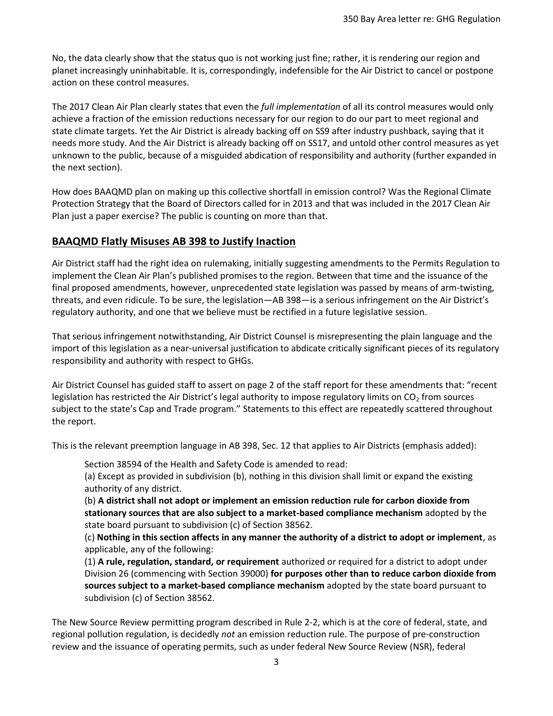No, the data clearly show that the status quo is not working just fine; rather, it is rendering our region and planet increasingly uninhabitable. It is, correspondingly, indefensible for the Air District to cancel or postpone action on these control measures.

The 2017 Clean Air Plan clearly states that even the *full implementation* of all its control measures would only achieve a fraction of the emission reductions necessary for our region to do our part to meet regional and state climate targets. Yet the Air District is already backing off on SS9 after industry pushback, saying that it needs more study. And the Air District is already backing off on SS17, and untold other control measures as yet unknown to the public, because of a misguided abdication of responsibility and authority (further expanded in the next section).

How does BAAQMD plan on making up this collective shortfall in emission control? Was the Regional Climate Protection Strategy that the Board of Directors called for in 2013 and that was included in the 2017 Clean Air Plan just a paper exercise? The public is counting on more than that.

## **BAAQMD Flatly Misuses AB 398 to Justify Inaction**

Air District staff had the right idea on rulemaking, initially suggesting amendments to the Permits Regulation to implement the Clean Air Plan's published promises to the region. Between that time and the issuance of the final proposed amendments, however, unprecedented state legislation was passed by means of arm-twisting, threats, and even ridicule. To be sure, the legislation—AB 398—is a serious infringement on the Air District's regulatory authority, and one that we believe must be rectified in a future legislative session.

That serious infringement notwithstanding, Air District Counsel is misrepresenting the plain language and the import of this legislation as a near-universal justification to abdicate critically significant pieces of its regulatory responsibility and authority with respect to GHGs.

Air District Counsel has guided staff to assert on page 2 of the staff report for these amendments that: "recent legislation has restricted the Air District's legal authority to impose regulatory limits on  $CO<sub>2</sub>$  from sources subject to the state's Cap and Trade program." Statements to this effect are repeatedly scattered throughout the report.

This is the relevant preemption language in AB 398, Sec. 12 that applies to Air Districts (emphasis added):

Section 38594 of the Health and Safety Code is amended to read:

(a) Except as provided in subdivision (b), nothing in this division shall limit or expand the existing authority of any district.

(b) **A district shall not adopt or implement an emission reduction rule for carbon dioxide from stationary sources that are also subject to a market-based compliance mechanism** adopted by the state board pursuant to subdivision (c) of Section 38562.

(c) **Nothing in this section affects in any manner the authority of a district to adopt or implement**, as applicable, any of the following:

(1) **A rule, regulation, standard, or requirement** authorized or required for a district to adopt under Division 26 (commencing with Section 39000) **for purposes other than to reduce carbon dioxide from sources subject to a market-based compliance mechanism** adopted by the state board pursuant to subdivision (c) of Section 38562.

The New Source Review permitting program described in Rule 2-2, which is at the core of federal, state, and regional pollution regulation, is decidedly *not* an emission reduction rule. The purpose of pre-construction review and the issuance of operating permits, such as under federal New Source Review (NSR), federal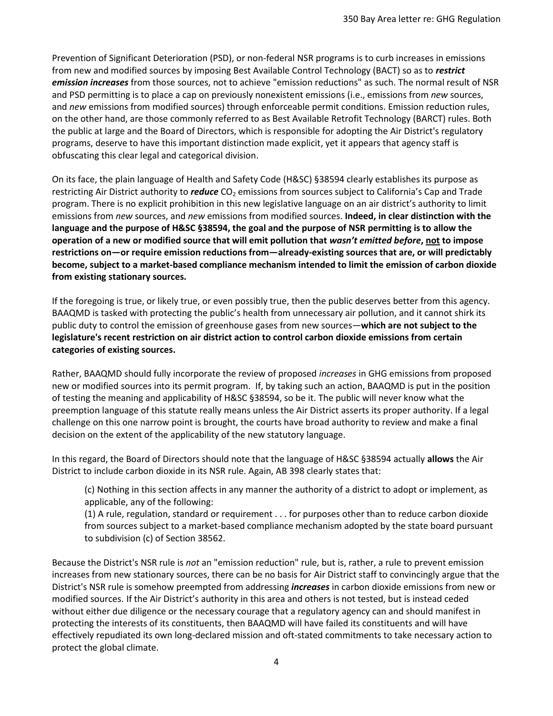Prevention of Significant Deterioration (PSD), or non-federal NSR programs is to curb increases in emissions from new and modified sources by imposing Best Available Control Technology (BACT) so as to *restrict emission increases* from those sources, not to achieve "emission reductions" as such. The normal result of NSR and PSD permitting is to place a cap on previously nonexistent emissions (i.e., emissions from *new* sources, and *new* emissions from modified sources) through enforceable permit conditions. Emission reduction rules, on the other hand, are those commonly referred to as Best Available Retrofit Technology (BARCT) rules. Both the public at large and the Board of Directors, which is responsible for adopting the Air District's regulatory programs, deserve to have this important distinction made explicit, yet it appears that agency staff is obfuscating this clear legal and categorical division.

On its face, the plain language of Health and Safety Code (H&SC) §38594 clearly establishes its purpose as restricting Air District authority to *reduce* CO<sub>2</sub> emissions from sources subject to California's Cap and Trade program. There is no explicit prohibition in this new legislative language on an air district's authority to limit emissions from *new* sources, and *new* emissions from modified sources. **Indeed, in clear distinction with the language and the purpose of H&SC §38594, the goal and the purpose of NSR permitting is to allow the operation of a new or modified source that will emit pollution that** *wasn't emitted before***, not to impose restrictions on—or require emission reductions from—already-existing sources that are, or will predictably become, subject to a market-based compliance mechanism intended to limit the emission of carbon dioxide from existing stationary sources.**

If the foregoing is true, or likely true, or even possibly true, then the public deserves better from this agency. BAAQMD is tasked with protecting the public's health from unnecessary air pollution, and it cannot shirk its public duty to control the emission of greenhouse gases from new sources—**which are not subject to the legislature's recent restriction on air district action to control carbon dioxide emissions from certain categories of existing sources.** 

Rather, BAAQMD should fully incorporate the review of proposed *increases* in GHG emissions from proposed new or modified sources into its permit program. If, by taking such an action, BAAQMD is put in the position of testing the meaning and applicability of H&SC §38594, so be it. The public will never know what the preemption language of this statute really means unless the Air District asserts its proper authority. If a legal challenge on this one narrow point is brought, the courts have broad authority to review and make a final decision on the extent of the applicability of the new statutory language.

In this regard, the Board of Directors should note that the language of H&SC §38594 actually **allows** the Air District to include carbon dioxide in its NSR rule. Again, AB 398 clearly states that:

(c) Nothing in this section affects in any manner the authority of a district to adopt or implement, as applicable, any of the following:

(1) A rule, regulation, standard or requirement . . . for purposes other than to reduce carbon dioxide from sources subject to a market-based compliance mechanism adopted by the state board pursuant to subdivision (c) of Section 38562.

Because the District's NSR rule is *not* an "emission reduction" rule, but is, rather, a rule to prevent emission increases from new stationary sources, there can be no basis for Air District staff to convincingly argue that the District's NSR rule is somehow preempted from addressing *increases* in carbon dioxide emissions from new or modified sources. If the Air District's authority in this area and others is not tested, but is instead ceded without either due diligence or the necessary courage that a regulatory agency can and should manifest in protecting the interests of its constituents, then BAAQMD will have failed its constituents and will have effectively repudiated its own long-declared mission and oft-stated commitments to take necessary action to protect the global climate.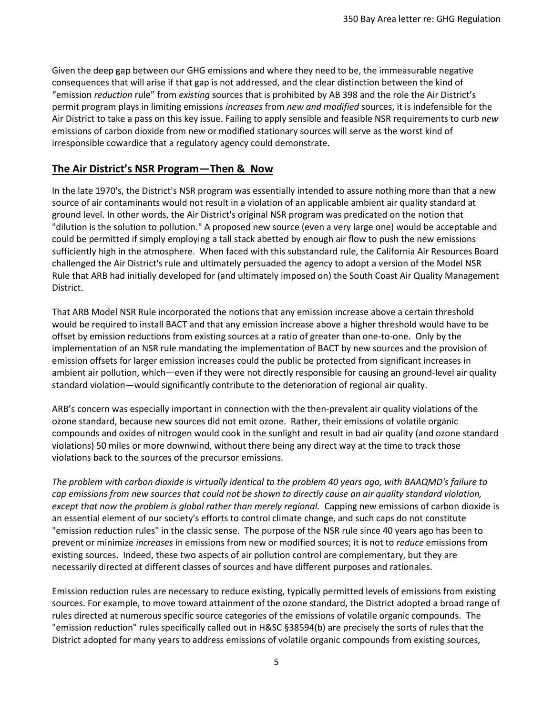Given the deep gap between our GHG emissions and where they need to be, the immeasurable negative consequences that will arise if that gap is not addressed, and the clear distinction between the kind of "emission *reduction* rule" from *existing* sources that is prohibited by AB 398 and the role the Air District's permit program plays in limiting emissions *increases* from *new and modified* sources, it is indefensible for the Air District to take a pass on this key issue. Failing to apply sensible and feasible NSR requirements to curb *new* emissions of carbon dioxide from new or modified stationary sources will serve as the worst kind of irresponsible cowardice that a regulatory agency could demonstrate.

## **The Air District's NSR Program—Then & Now**

In the late 1970's, the District's NSR program was essentially intended to assure nothing more than that a new source of air contaminants would not result in a violation of an applicable ambient air quality standard at ground level. In other words, the Air District's original NSR program was predicated on the notion that "dilution is the solution to pollution." A proposed new source (even a very large one) would be acceptable and could be permitted if simply employing a tall stack abetted by enough air flow to push the new emissions sufficiently high in the atmosphere. When faced with this substandard rule, the California Air Resources Board challenged the Air District's rule and ultimately persuaded the agency to adopt a version of the Model NSR Rule that ARB had initially developed for (and ultimately imposed on) the South Coast Air Quality Management District.

That ARB Model NSR Rule incorporated the notions that any emission increase above a certain threshold would be required to install BACT and that any emission increase above a higher threshold would have to be offset by emission reductions from existing sources at a ratio of greater than one-to-one. Only by the implementation of an NSR rule mandating the implementation of BACT by new sources and the provision of emission offsets for larger emission increases could the public be protected from significant increases in ambient air pollution, which—even if they were not directly responsible for causing an ground-level air quality standard violation—would significantly contribute to the deterioration of regional air quality.

ARB's concern was especially important in connection with the then-prevalent air quality violations of the ozone standard, because new sources did not emit ozone. Rather, their emissions of volatile organic compounds and oxides of nitrogen would cook in the sunlight and result in bad air quality (and ozone standard violations) 50 miles or more downwind, without there being any direct way at the time to track those violations back to the sources of the precursor emissions.

*The problem with carbon dioxide is virtually identical to the problem 40 years ago, with BAAQMD's failure to cap emissions from new sources that could not be shown to directly cause an air quality standard violation, except that now the problem is global rather than merely regional.* Capping new emissions of carbon dioxide is an essential element of our society's efforts to control climate change, and such caps do not constitute "emission reduction rules" in the classic sense. The purpose of the NSR rule since 40 years ago has been to prevent or minimize *increases* in emissions from new or modified sources; it is not to *reduce* emissions from existing sources. Indeed, these two aspects of air pollution control are complementary, but they are necessarily directed at different classes of sources and have different purposes and rationales.

Emission reduction rules are necessary to reduce existing, typically permitted levels of emissions from existing sources. For example, to move toward attainment of the ozone standard, the District adopted a broad range of rules directed at numerous specific source categories of the emissions of volatile organic compounds. The "emission reduction" rules specifically called out in H&SC §38594(b) are precisely the sorts of rules that the District adopted for many years to address emissions of volatile organic compounds from existing sources,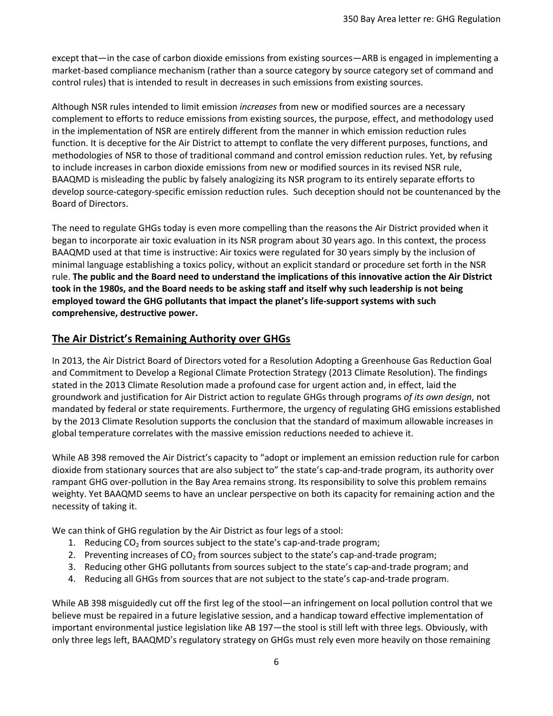except that—in the case of carbon dioxide emissions from existing sources—ARB is engaged in implementing a market-based compliance mechanism (rather than a source category by source category set of command and control rules) that is intended to result in decreases in such emissions from existing sources.

Although NSR rules intended to limit emission *increases* from new or modified sources are a necessary complement to efforts to reduce emissions from existing sources, the purpose, effect, and methodology used in the implementation of NSR are entirely different from the manner in which emission reduction rules function. It is deceptive for the Air District to attempt to conflate the very different purposes, functions, and methodologies of NSR to those of traditional command and control emission reduction rules. Yet, by refusing to include increases in carbon dioxide emissions from new or modified sources in its revised NSR rule, BAAQMD is misleading the public by falsely analogizing its NSR program to its entirely separate efforts to develop source-category-specific emission reduction rules. Such deception should not be countenanced by the Board of Directors.

The need to regulate GHGs today is even more compelling than the reasons the Air District provided when it began to incorporate air toxic evaluation in its NSR program about 30 years ago. In this context, the process BAAQMD used at that time is instructive: Air toxics were regulated for 30 years simply by the inclusion of minimal language establishing a toxics policy, without an explicit standard or procedure set forth in the NSR rule. **The public and the Board need to understand the implications of this innovative action the Air District took in the 1980s, and the Board needs to be asking staff and itself why such leadership is not being employed toward the GHG pollutants that impact the planet's life-support systems with such comprehensive, destructive power.**

# **The Air District's Remaining Authority over GHGs**

In 2013, the Air District Board of Directors voted for a Resolution Adopting a Greenhouse Gas Reduction Goal and Commitment to Develop a Regional Climate Protection Strategy (2013 Climate Resolution). The findings stated in the 2013 Climate Resolution made a profound case for urgent action and, in effect, laid the groundwork and justification for Air District action to regulate GHGs through programs *of its own design*, not mandated by federal or state requirements. Furthermore, the urgency of regulating GHG emissions established by the 2013 Climate Resolution supports the conclusion that the standard of maximum allowable increases in global temperature correlates with the massive emission reductions needed to achieve it.

While AB 398 removed the Air District's capacity to "adopt or implement an emission reduction rule for carbon dioxide from stationary sources that are also subject to" the state's cap-and-trade program, its authority over rampant GHG over-pollution in the Bay Area remains strong. Its responsibility to solve this problem remains weighty. Yet BAAQMD seems to have an unclear perspective on both its capacity for remaining action and the necessity of taking it.

We can think of GHG regulation by the Air District as four legs of a stool:

- 1. Reducing  $CO<sub>2</sub>$  from sources subject to the state's cap-and-trade program;
- 2. Preventing increases of  $CO<sub>2</sub>$  from sources subject to the state's cap-and-trade program;
- 3. Reducing other GHG pollutants from sources subject to the state's cap-and-trade program; and
- 4. Reducing all GHGs from sources that are not subject to the state's cap-and-trade program.

While AB 398 misguidedly cut off the first leg of the stool—an infringement on local pollution control that we believe must be repaired in a future legislative session, and a handicap toward effective implementation of important environmental justice legislation like AB 197—the stool is still left with three legs. Obviously, with only three legs left, BAAQMD's regulatory strategy on GHGs must rely even more heavily on those remaining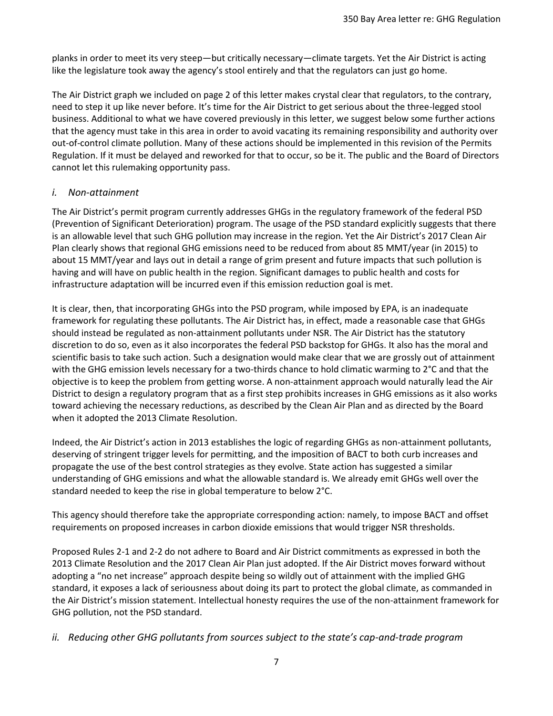planks in order to meet its very steep—but critically necessary—climate targets. Yet the Air District is acting like the legislature took away the agency's stool entirely and that the regulators can just go home.

The Air District graph we included on page 2 of this letter makes crystal clear that regulators, to the contrary, need to step it up like never before. It's time for the Air District to get serious about the three-legged stool business. Additional to what we have covered previously in this letter, we suggest below some further actions that the agency must take in this area in order to avoid vacating its remaining responsibility and authority over out-of-control climate pollution. Many of these actions should be implemented in this revision of the Permits Regulation. If it must be delayed and reworked for that to occur, so be it. The public and the Board of Directors cannot let this rulemaking opportunity pass.

#### *i. Non-attainment*

The Air District's permit program currently addresses GHGs in the regulatory framework of the federal PSD (Prevention of Significant Deterioration) program. The usage of the PSD standard explicitly suggests that there is an allowable level that such GHG pollution may increase in the region. Yet the Air District's 2017 Clean Air Plan clearly shows that regional GHG emissions need to be reduced from about 85 MMT/year (in 2015) to about 15 MMT/year and lays out in detail a range of grim present and future impacts that such pollution is having and will have on public health in the region. Significant damages to public health and costs for infrastructure adaptation will be incurred even if this emission reduction goal is met.

It is clear, then, that incorporating GHGs into the PSD program, while imposed by EPA, is an inadequate framework for regulating these pollutants. The Air District has, in effect, made a reasonable case that GHGs should instead be regulated as non-attainment pollutants under NSR. The Air District has the statutory discretion to do so, even as it also incorporates the federal PSD backstop for GHGs. It also has the moral and scientific basis to take such action. Such a designation would make clear that we are grossly out of attainment with the GHG emission levels necessary for a two-thirds chance to hold climatic warming to 2°C and that the objective is to keep the problem from getting worse. A non-attainment approach would naturally lead the Air District to design a regulatory program that as a first step prohibits increases in GHG emissions as it also works toward achieving the necessary reductions, as described by the Clean Air Plan and as directed by the Board when it adopted the 2013 Climate Resolution.

Indeed, the Air District's action in 2013 establishes the logic of regarding GHGs as non-attainment pollutants, deserving of stringent trigger levels for permitting, and the imposition of BACT to both curb increases and propagate the use of the best control strategies as they evolve. State action has suggested a similar understanding of GHG emissions and what the allowable standard is. We already emit GHGs well over the standard needed to keep the rise in global temperature to below 2°C.

This agency should therefore take the appropriate corresponding action: namely, to impose BACT and offset requirements on proposed increases in carbon dioxide emissions that would trigger NSR thresholds.

Proposed Rules 2-1 and 2-2 do not adhere to Board and Air District commitments as expressed in both the 2013 Climate Resolution and the 2017 Clean Air Plan just adopted. If the Air District moves forward without adopting a "no net increase" approach despite being so wildly out of attainment with the implied GHG standard, it exposes a lack of seriousness about doing its part to protect the global climate, as commanded in the Air District's mission statement. Intellectual honesty requires the use of the non-attainment framework for GHG pollution, not the PSD standard.

#### *ii. Reducing other GHG pollutants from sources subject to the state's cap-and-trade program*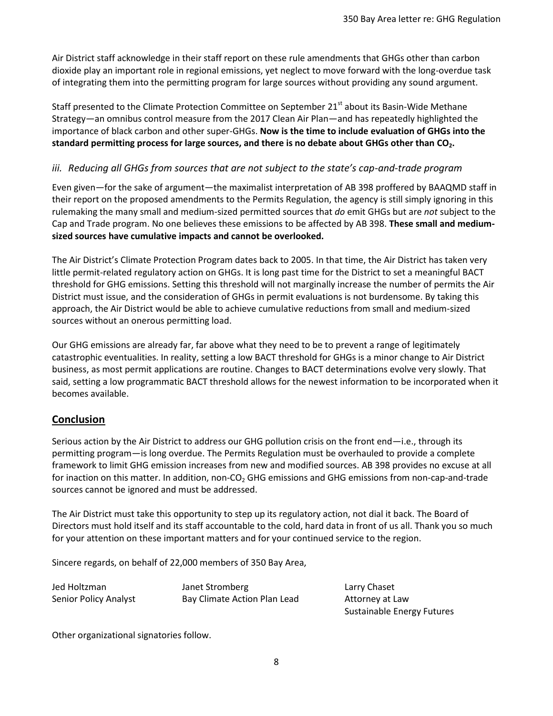Air District staff acknowledge in their staff report on these rule amendments that GHGs other than carbon dioxide play an important role in regional emissions, yet neglect to move forward with the long-overdue task of integrating them into the permitting program for large sources without providing any sound argument.

Staff presented to the Climate Protection Committee on September 21<sup>st</sup> about its Basin-Wide Methane Strategy—an omnibus control measure from the 2017 Clean Air Plan—and has repeatedly highlighted the importance of black carbon and other super-GHGs. **Now is the time to include evaluation of GHGs into the standard permitting process for large sources, and there is no debate about GHGs other than CO2.**

### *iii. Reducing all GHGs from sources that are not subject to the state's cap-and-trade program*

Even given—for the sake of argument—the maximalist interpretation of AB 398 proffered by BAAQMD staff in their report on the proposed amendments to the Permits Regulation, the agency is still simply ignoring in this rulemaking the many small and medium-sized permitted sources that *do* emit GHGs but are *not* subject to the Cap and Trade program. No one believes these emissions to be affected by AB 398. **These small and mediumsized sources have cumulative impacts and cannot be overlooked.**

The Air District's Climate Protection Program dates back to 2005. In that time, the Air District has taken very little permit-related regulatory action on GHGs. It is long past time for the District to set a meaningful BACT threshold for GHG emissions. Setting this threshold will not marginally increase the number of permits the Air District must issue, and the consideration of GHGs in permit evaluations is not burdensome. By taking this approach, the Air District would be able to achieve cumulative reductions from small and medium-sized sources without an onerous permitting load.

Our GHG emissions are already far, far above what they need to be to prevent a range of legitimately catastrophic eventualities. In reality, setting a low BACT threshold for GHGs is a minor change to Air District business, as most permit applications are routine. Changes to BACT determinations evolve very slowly. That said, setting a low programmatic BACT threshold allows for the newest information to be incorporated when it becomes available.

## **Conclusion**

Serious action by the Air District to address our GHG pollution crisis on the front end—i.e., through its permitting program—is long overdue. The Permits Regulation must be overhauled to provide a complete framework to limit GHG emission increases from new and modified sources. AB 398 provides no excuse at all for inaction on this matter. In addition, non-CO<sub>2</sub> GHG emissions and GHG emissions from non-cap-and-trade sources cannot be ignored and must be addressed.

The Air District must take this opportunity to step up its regulatory action, not dial it back. The Board of Directors must hold itself and its staff accountable to the cold, hard data in front of us all. Thank you so much for your attention on these important matters and for your continued service to the region.

Sincere regards, on behalf of 22,000 members of 350 Bay Area,

Jed Holtzman Janet Stromberg Larry Chaset Senior Policy Analyst **Bay Climate Action Plan Lead** Attorney at Law

Sustainable Energy Futures

Other organizational signatories follow.